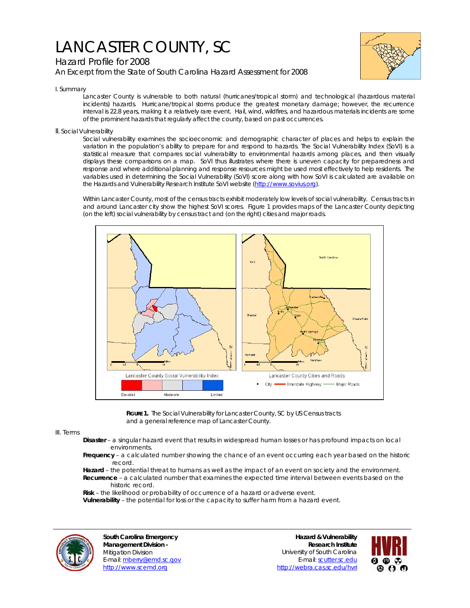# LANCASTER COUNTY, SC

# Hazard Profile for 2008 *An Excerpt from the State of South Carolina Hazard Assessment for 2008*



I. Summary

Lancaster County is vulnerable to both natural (hurricanes/tropical storm) and technological (hazardous material incidents) hazards. Hurricane/tropical storms produce the greatest monetary damage; however, the recurrence interval is 22.8 years, making it a relatively rare event. Hail, wind, wildfires, and hazardous materials incidents are some of the prominent hazards that regularly affect the county, based on past occurrences.

## II. Social Vulnerability

Social vulnerability examines the socioeconomic and demographic character of places and helps to explain the variation in the population's ability to prepare for and respond to hazards. The Social Vulnerability Index (SoVI) is a statistical measure that compares social vulnerability to environmental hazards among places, and then visually displays these comparisons on a map. SoVI thus illustrates where there is uneven capacity for preparedness and response and where additional planning and response resources might be used most effectively to help residents. The variables used in determining the Social Vulnerability (SoVI) score along with how SoVI is calculated are available on the Hazards and Vulnerability Research Institute SoVI website (http://www.sovius.org).

Within Lancaster County, most of the census tracts exhibit moderately low levels of social vulnerability. Census tracts in and around Lancaster city show the highest SoVI scores. Figure 1 provides maps of the Lancaster County depicting (on the left) social vulnerability by census tract and (on the right) cities and major roads.



FIGURE 1. The Social Vulnerability for Lancaster County, SC by US Census tracts and a general reference map of Lancaster County.

### III. Terms

- **Disaster** a singular hazard event that results in widespread human losses or has profound impacts on local environments.
- **Frequency** a calculated number showing the chance of an event occurring each year based on the historic record.
- **Hazard** the potential threat to humans as well as the impact of an event on society and the environment.  **Recurrence** – a calculated number that examines the expected time interval between events based on the historic record.
- **Risk** the likelihood or probability of occurrence of a hazard or adverse event.
- **Vulnerability** the potential for loss or the capacity to suffer harm from a hazard event.



**South Carolina Emergency Management Division -**  Mitigation Division E-mail: mberry@emd.sc.gov http://www.scemd.org

**Hazard & Vulnerability Research Institute**  University of South Carolina E-mail: scutter.sc.edu http://webra.cas.sc.edu/hvri

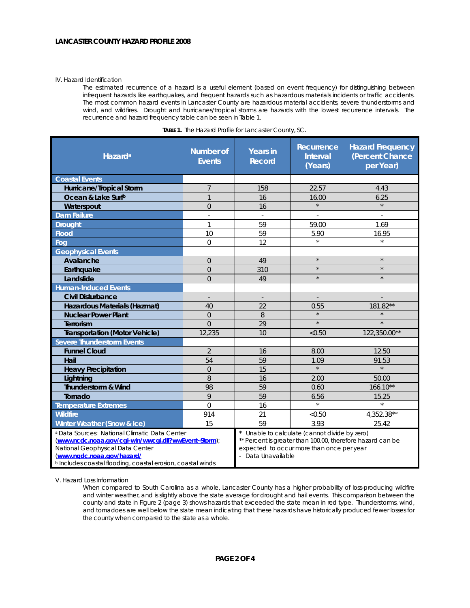#### IV. Hazard Identification

The estimated recurrence of a hazard is a useful element (based on event frequency) for distinguishing between infrequent hazards like earthquakes, and frequent hazards such as hazardous materials incidents or traffic accidents. The most common hazard events in Lancaster County are hazardous material accidents, severe thunderstorms and wind, and wildfires. Drought and hurricanes/tropical storms are hazards with the lowest recurrence intervals. The recurrence and hazard frequency table can be seen in Table 1.

| Hazard <sup>a</sup>                                                                                                                                                                                                                           | <b>Number of</b><br><b>Events</b> | <b>Years in</b><br><b>Record</b>                                                                                                                                             | Recurrence<br><b>Interval</b><br>(Years) | <b>Hazard Frequency</b><br>(Percent Chance<br>per Year) |
|-----------------------------------------------------------------------------------------------------------------------------------------------------------------------------------------------------------------------------------------------|-----------------------------------|------------------------------------------------------------------------------------------------------------------------------------------------------------------------------|------------------------------------------|---------------------------------------------------------|
| <b>Coastal Events</b>                                                                                                                                                                                                                         |                                   |                                                                                                                                                                              |                                          |                                                         |
| Hurricane/Tropical Storm                                                                                                                                                                                                                      | $\overline{7}$                    | 158                                                                                                                                                                          | 22.57                                    | 4.43                                                    |
| Ocean & Lake Surfb                                                                                                                                                                                                                            | $\mathbf{1}$                      | 16                                                                                                                                                                           | 16.00                                    | 6.25                                                    |
| Waterspout                                                                                                                                                                                                                                    | $\Omega$                          | 16                                                                                                                                                                           | $\star$                                  | $\star$                                                 |
| <b>Dam Failure</b>                                                                                                                                                                                                                            | $\overline{\phantom{a}}$          |                                                                                                                                                                              | ÷,                                       |                                                         |
| <b>Drought</b>                                                                                                                                                                                                                                | $\mathbf{1}$                      | 59                                                                                                                                                                           | 59.00                                    | 1.69                                                    |
| <b>Flood</b>                                                                                                                                                                                                                                  | 10                                | 59                                                                                                                                                                           | 5.90                                     | 16.95                                                   |
| Fog                                                                                                                                                                                                                                           | $\overline{0}$                    | 12                                                                                                                                                                           | $\star$                                  | $\star$                                                 |
| <b>Geophysical Events</b>                                                                                                                                                                                                                     |                                   |                                                                                                                                                                              |                                          |                                                         |
| Avalanche                                                                                                                                                                                                                                     | $\overline{0}$                    | 49                                                                                                                                                                           | $\star$                                  | $\star$                                                 |
| Earthquake                                                                                                                                                                                                                                    | $\overline{0}$                    | 310                                                                                                                                                                          | $\star$                                  | $\star$                                                 |
| Landslide                                                                                                                                                                                                                                     | $\overline{0}$                    | 49                                                                                                                                                                           | $\star$                                  | $\star$                                                 |
| <b>Human-Induced Events</b>                                                                                                                                                                                                                   |                                   |                                                                                                                                                                              |                                          |                                                         |
| <b>Civil Disturbance</b>                                                                                                                                                                                                                      |                                   | $\centerdot$                                                                                                                                                                 |                                          |                                                         |
| Hazardous Materials (Hazmat)                                                                                                                                                                                                                  | 40                                | 22                                                                                                                                                                           | 0.55                                     | 181.82**                                                |
| <b>Nuclear Power Plant</b>                                                                                                                                                                                                                    | $\overline{0}$                    | 8                                                                                                                                                                            | $\star$                                  |                                                         |
| Terrorism                                                                                                                                                                                                                                     | $\Omega$                          | 29                                                                                                                                                                           | $\star$                                  | $\star$                                                 |
| <b>Transportation (Motor Vehicle)</b>                                                                                                                                                                                                         | 12.235                            | 10                                                                                                                                                                           | < 0.50                                   | 122,350.00**                                            |
| <b>Severe Thunderstorm Events</b>                                                                                                                                                                                                             |                                   |                                                                                                                                                                              |                                          |                                                         |
| <b>Funnel Cloud</b>                                                                                                                                                                                                                           | $\overline{2}$                    | 16                                                                                                                                                                           | 8.00                                     | 12.50                                                   |
| Hail                                                                                                                                                                                                                                          | 54                                | 59                                                                                                                                                                           | 1.09                                     | 91.53                                                   |
| <b>Heavy Precipitation</b>                                                                                                                                                                                                                    | $\Omega$                          | 15                                                                                                                                                                           | $\star$                                  | $\star$                                                 |
| Lightning                                                                                                                                                                                                                                     | 8                                 | 16                                                                                                                                                                           | 2.00                                     | 50.00                                                   |
| Thunderstorm & Wind                                                                                                                                                                                                                           | 98                                | 59                                                                                                                                                                           | 0.60                                     | $166.10**$                                              |
| Tornado                                                                                                                                                                                                                                       | 9                                 | 59                                                                                                                                                                           | 6.56                                     | 15.25                                                   |
| <b>Temperature Extremes</b>                                                                                                                                                                                                                   | $\Omega$                          | 16                                                                                                                                                                           | $\star$                                  | $\star$                                                 |
| <b>Wildfire</b>                                                                                                                                                                                                                               | 914                               | 21                                                                                                                                                                           | < 0.50                                   | 4,352.38**                                              |
| Winter Weather (Snow & Ice)                                                                                                                                                                                                                   | 15                                | 59                                                                                                                                                                           | 3.93                                     | 25.42                                                   |
| a Data Sources: National Climatic Data Center<br>(www.ncdc.noaa.gov/cgi-win/wwcgi.dll?wwEvent~Storm);<br>National Geophysical Data Center<br>(www.ngdc.noaa.gov/hazard/<br><b>b</b> Includes coastal flooding, coastal erosion, coastal winds |                                   | Unable to calculate (cannot divide by zero)<br>** Percent is greater than 100.00, therefore hazard can be<br>expected to occur more than once per year<br>- Data Unavailable |                                          |                                                         |

|  |  | <b>TABLE 1.</b> The Hazard Profile for Lancaster County, SC. |
|--|--|--------------------------------------------------------------|
|  |  |                                                              |

V. Hazard Loss Information

When compared to South Carolina as a whole, Lancaster County has a higher probability of loss-producing wildfire and winter weather, and is slightly above the state average for drought and hail events. This comparison between the county and state in Figure 2 (page 3) shows hazards that exceeded the state mean in red type. Thunderstorms, wind, and tornadoes are well below the state mean indicating that these hazards have historically produced fewer losses for the county when compared to the state as a whole.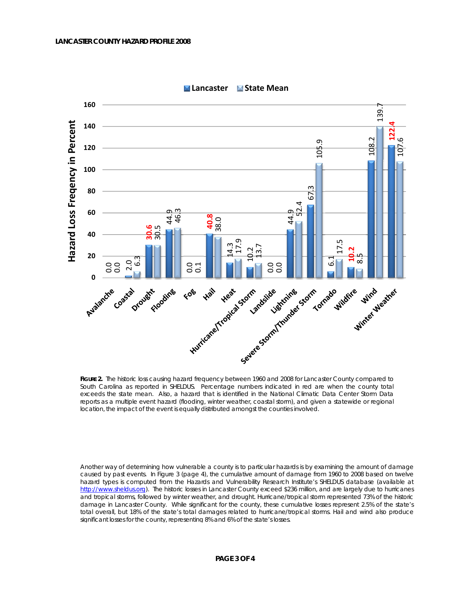

**Lancaster State Mean**

**FIGURE 2.** The historic loss causing hazard frequency between 1960 and 2008 for Lancaster County compared to South Carolina as reported in SHELDUS. Percentage numbers indicated in red are when the county total exceeds the state mean. Also, a hazard that is identified in the National Climatic Data Center Storm Data reports as a multiple event hazard (flooding, winter weather, coastal storm), and given a statewide or regional location, the impact of the event is equally distributed amongst the counties involved.

Another way of determining how vulnerable a county is to particular hazards is by examining the amount of damage caused by past events. In Figure 3 (page 4), the cumulative amount of damage from 1960 to 2008 based on twelve hazard types is computed from the Hazards and Vulnerability Research Institute's SHELDUS database (available at http://www.sheldus.org). The historic losses in Lancaster County exceed \$236 million, and are largely due to hurricanes and tropical storms, followed by winter weather, and drought. Hurricane/tropical storm represented 73% of the historic damage in Lancaster County. While significant for the county, these cumulative losses represent 2.5% of the state's total overall, but 18% of the state's total damages related to hurricane/tropical storms. Hail and wind also produce significant losses for the county, representing 8% and 6% of the state's losses.